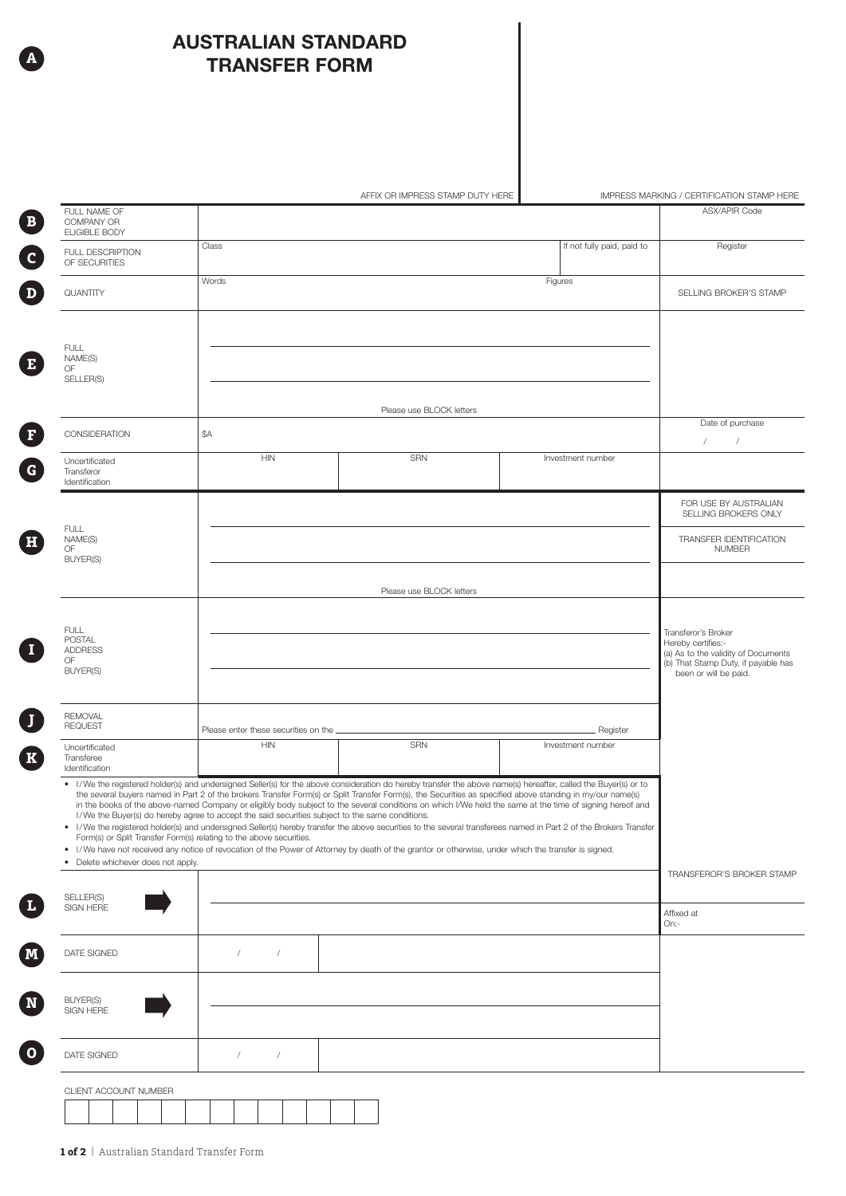## AUSTRALIAN STANDARD TRANSFER FORM

**A**

| FULL NAME OF<br>COMPANY OR<br><b>ELIGIBLE BODY</b><br>FULL DESCRIPTION<br>OF SECURITIES | Class                                                                                           |                                                                                                                                                                                                                                                                                                                                                                                                                                                                                                                                                                                                                                                   |                                                                                                                                                                   | <b>ASX/APIR Code</b>                                                                                                                             |
|-----------------------------------------------------------------------------------------|-------------------------------------------------------------------------------------------------|---------------------------------------------------------------------------------------------------------------------------------------------------------------------------------------------------------------------------------------------------------------------------------------------------------------------------------------------------------------------------------------------------------------------------------------------------------------------------------------------------------------------------------------------------------------------------------------------------------------------------------------------------|-------------------------------------------------------------------------------------------------------------------------------------------------------------------|--------------------------------------------------------------------------------------------------------------------------------------------------|
|                                                                                         |                                                                                                 |                                                                                                                                                                                                                                                                                                                                                                                                                                                                                                                                                                                                                                                   |                                                                                                                                                                   |                                                                                                                                                  |
|                                                                                         |                                                                                                 |                                                                                                                                                                                                                                                                                                                                                                                                                                                                                                                                                                                                                                                   | If not fully paid, paid to                                                                                                                                        | Register                                                                                                                                         |
| QUANTITY                                                                                | Words                                                                                           |                                                                                                                                                                                                                                                                                                                                                                                                                                                                                                                                                                                                                                                   | Figures                                                                                                                                                           | SELLING BROKER'S STAMP                                                                                                                           |
|                                                                                         |                                                                                                 |                                                                                                                                                                                                                                                                                                                                                                                                                                                                                                                                                                                                                                                   |                                                                                                                                                                   |                                                                                                                                                  |
| <b>FULL</b><br>NAME(S)<br>OF                                                            |                                                                                                 |                                                                                                                                                                                                                                                                                                                                                                                                                                                                                                                                                                                                                                                   |                                                                                                                                                                   |                                                                                                                                                  |
| SELLER(S)                                                                               |                                                                                                 | Please use BLOCK letters                                                                                                                                                                                                                                                                                                                                                                                                                                                                                                                                                                                                                          |                                                                                                                                                                   |                                                                                                                                                  |
| CONSIDERATION                                                                           | \$A                                                                                             |                                                                                                                                                                                                                                                                                                                                                                                                                                                                                                                                                                                                                                                   |                                                                                                                                                                   | Date of purchase<br>$\sqrt{2}$<br>$\sqrt{2}$                                                                                                     |
| Uncertificated<br>Transferor<br>Identification                                          | <b>HIN</b>                                                                                      | <b>SRN</b>                                                                                                                                                                                                                                                                                                                                                                                                                                                                                                                                                                                                                                        | Investment number                                                                                                                                                 |                                                                                                                                                  |
|                                                                                         |                                                                                                 |                                                                                                                                                                                                                                                                                                                                                                                                                                                                                                                                                                                                                                                   |                                                                                                                                                                   | FOR USE BY AUSTRALIAN<br>SELLING BROKERS ONLY                                                                                                    |
| <b>FULL</b><br>NAME(S)<br>OF<br><b>BUYER(S)</b>                                         |                                                                                                 |                                                                                                                                                                                                                                                                                                                                                                                                                                                                                                                                                                                                                                                   |                                                                                                                                                                   | TRANSFER IDENTIFICATION<br><b>NUMBER</b>                                                                                                         |
|                                                                                         | Please use BLOCK letters                                                                        |                                                                                                                                                                                                                                                                                                                                                                                                                                                                                                                                                                                                                                                   |                                                                                                                                                                   |                                                                                                                                                  |
|                                                                                         |                                                                                                 |                                                                                                                                                                                                                                                                                                                                                                                                                                                                                                                                                                                                                                                   |                                                                                                                                                                   |                                                                                                                                                  |
| <b>FULL</b><br><b>POSTAL</b><br><b>ADDRESS</b><br>OF<br><b>BUYER(S)</b>                 |                                                                                                 |                                                                                                                                                                                                                                                                                                                                                                                                                                                                                                                                                                                                                                                   |                                                                                                                                                                   | Transferor's Broker<br>Hereby certifies:-<br>(a) As to the validity of Documents<br>(b) That Stamp Duty, if payable has<br>been or will be paid. |
| <b>REMOVAL</b>                                                                          |                                                                                                 |                                                                                                                                                                                                                                                                                                                                                                                                                                                                                                                                                                                                                                                   |                                                                                                                                                                   |                                                                                                                                                  |
| <b>REQUEST</b>                                                                          | Please enter these securities on the<br>Register                                                |                                                                                                                                                                                                                                                                                                                                                                                                                                                                                                                                                                                                                                                   |                                                                                                                                                                   |                                                                                                                                                  |
| Uncertificated<br>Transferee<br>Identification                                          | <b>HIN</b>                                                                                      | SRN                                                                                                                                                                                                                                                                                                                                                                                                                                                                                                                                                                                                                                               | Investment number                                                                                                                                                 |                                                                                                                                                  |
| Form(s) or Split Transfer Form(s) relating to the above securities.                     | I/We the Buyer(s) do hereby agree to accept the said securities subject to the same conditions. | • I/We the registered holder(s) and undersigned Seller(s) for the above consideration do hereby transfer the above name(s) hereafter, called the Buyer(s) or to<br>the several buyers named in Part 2 of the brokers Transfer Form(s) or Split Transfer Form(s), the Securities as specified above standing in my/our name(s)<br>in the books of the above-named Company or eligibly body subject to the several conditions on which I/We held the same at the time of signing hereof and<br>• I/We have not received any notice of revocation of the Power of Attorney by death of the grantor or otherwise, under which the transfer is signed. | • I/We the registered holder(s) and undersigned Seller(s) hereby transfer the above securities to the several transferees named in Part 2 of the Brokers Transfer |                                                                                                                                                  |
| Delete whichever does not apply.<br>٠                                                   |                                                                                                 |                                                                                                                                                                                                                                                                                                                                                                                                                                                                                                                                                                                                                                                   |                                                                                                                                                                   | TRANSFEROR'S BROKER STAMP                                                                                                                        |
| SELLER(S)<br>SIGN HERE                                                                  |                                                                                                 |                                                                                                                                                                                                                                                                                                                                                                                                                                                                                                                                                                                                                                                   |                                                                                                                                                                   | Affixed at<br>On:-                                                                                                                               |
| DATE SIGNED                                                                             | $\sqrt{2}$<br>$\sqrt{2}$                                                                        |                                                                                                                                                                                                                                                                                                                                                                                                                                                                                                                                                                                                                                                   |                                                                                                                                                                   |                                                                                                                                                  |
| BUYER(S)<br>SIGN HERE                                                                   |                                                                                                 |                                                                                                                                                                                                                                                                                                                                                                                                                                                                                                                                                                                                                                                   |                                                                                                                                                                   |                                                                                                                                                  |
| DATE SIGNED                                                                             | $\sqrt{2}$<br>$\sqrt{2}$                                                                        |                                                                                                                                                                                                                                                                                                                                                                                                                                                                                                                                                                                                                                                   |                                                                                                                                                                   |                                                                                                                                                  |